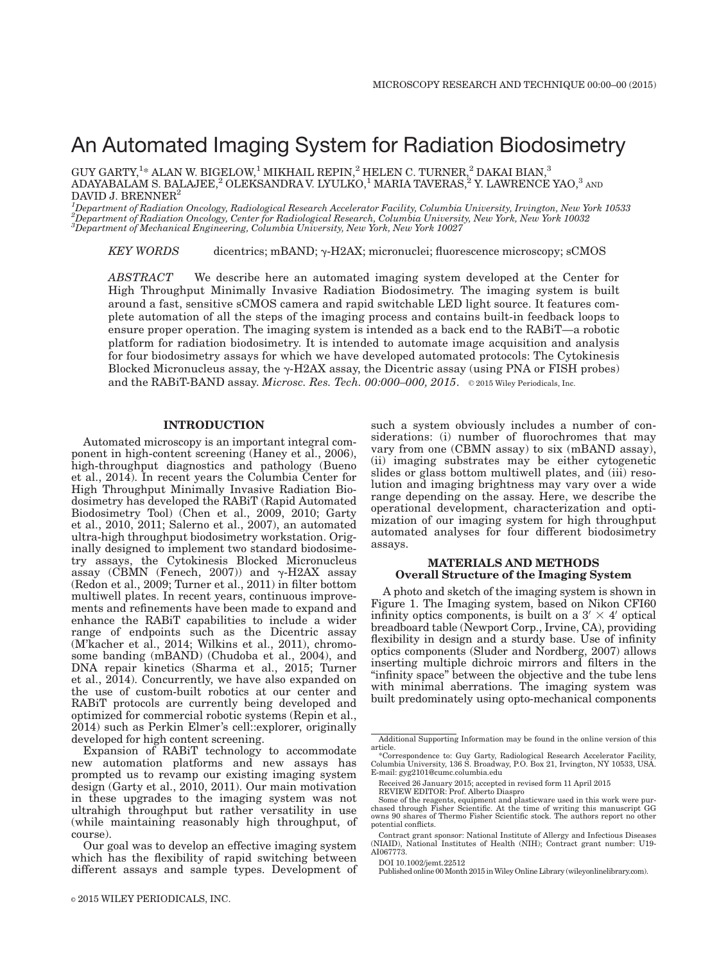# An Automated Imaging System for Radiation Biodosimetry

GUY GARTY, $^{1*}$  ALAN W. BIGELOW, $^{1}$  MIKHAIL REPIN, $^{2}$  HELEN C. TURNER, $^{2}$  DAKAI BIAN, $^{3}$ ADAYABALAM S. BALAJEE, $^2$  OLEKSANDRA V. LYULKO, $^1$  MARIA TAVERAS, $^2$  Y. LAWRENCE YAO, $^3$  and DAVID J. BRENNER<sup>2</sup>

<sup>1</sup>Department of Radiation Oncology, Radiological Research Accelerator Facility, Columbia University, Irvington, New York 10533<br><sup>2</sup>Department of Radiation Oncology, Center for Radiological Research, Columbia University, Ne 3 Department of Mechanical Engineering, Columbia University, New York, New York 10027

KEY WORDS dicentrics; mBAND;  $\gamma$ -H2AX; micronuclei; fluorescence microscopy; sCMOS

ABSTRACT We describe here an automated imaging system developed at the Center for High Throughput Minimally Invasive Radiation Biodosimetry. The imaging system is built around a fast, sensitive sCMOS camera and rapid switchable LED light source. It features complete automation of all the steps of the imaging process and contains built-in feedback loops to ensure proper operation. The imaging system is intended as a back end to the RABiT—a robotic platform for radiation biodosimetry. It is intended to automate image acquisition and analysis for four biodosimetry assays for which we have developed automated protocols: The Cytokinesis Blocked Micronucleus assay, the  $\gamma$ -H2AX assay, the Dicentric assay (using PNA or FISH probes) and the RABIT-BAND assay. Microsc. Res. Tech.  $00:000-000$ ,  $2015$ .  $\circ$  2015 Wiley Periodicals, Inc.

## INTRODUCTION

Automated microscopy is an important integral component in high-content screening (Haney et al., 2006), high-throughput diagnostics and pathology (Bueno et al., 2014). In recent years the Columbia Center for High Throughput Minimally Invasive Radiation Biodosimetry has developed the RABiT (Rapid Automated Biodosimetry Tool) (Chen et al., 2009, 2010; Garty et al., 2010, 2011; Salerno et al., 2007), an automated ultra-high throughput biodosimetry workstation. Originally designed to implement two standard biodosimetry assays, the Cytokinesis Blocked Micronucleus assay (CBMN (Fenech, 2007)) and  $\gamma$ -H2AX assay (Redon et al., 2009; Turner et al., 2011) in filter bottom multiwell plates. In recent years, continuous improvements and refinements have been made to expand and enhance the RABiT capabilities to include a wider range of endpoints such as the Dicentric assay (M'kacher et al., 2014; Wilkins et al., 2011), chromosome banding (mBAND) (Chudoba et al., 2004), and DNA repair kinetics (Sharma et al., 2015; Turner et al., 2014). Concurrently, we have also expanded on the use of custom-built robotics at our center and RABiT protocols are currently being developed and optimized for commercial robotic systems (Repin et al., 2014) such as Perkin Elmer's cell::explorer, originally developed for high content screening.

Expansion of RABiT technology to accommodate new automation platforms and new assays has prompted us to revamp our existing imaging system design (Garty et al., 2010, 2011). Our main motivation in these upgrades to the imaging system was not ultrahigh throughput but rather versatility in use (while maintaining reasonably high throughput, of course).

Our goal was to develop an effective imaging system which has the flexibility of rapid switching between different assays and sample types. Development of

such a system obviously includes a number of considerations: (i) number of fluorochromes that may vary from one (CBMN assay) to six (mBAND assay), (ii) imaging substrates may be either cytogenetic slides or glass bottom multiwell plates, and (iii) resolution and imaging brightness may vary over a wide range depending on the assay. Here, we describe the operational development, characterization and optimization of our imaging system for high throughput automated analyses for four different biodosimetry assays.

## MATERIALS AND METHODS Overall Structure of the Imaging System

A photo and sketch of the imaging system is shown in Figure 1. The Imaging system, based on Nikon CFI60 infinity optics components, is built on a  $3' \times 4'$  optical breadboard table (Newport Corp., Irvine, CA), providing flexibility in design and a sturdy base. Use of infinity optics components (Sluder and Nordberg, 2007) allows inserting multiple dichroic mirrors and filters in the "infinity space" between the objective and the tube lens with minimal aberrations. The imaging system was built predominately using opto-mechanical components

Published online 00Month 2015 inWiley Online Library (wileyonlinelibrary.com).

Additional Supporting Information may be found in the online version of this article.

<sup>\*</sup>Correspondence to: Guy Garty, Radiological Research Accelerator Facility, Columbia University, 136 S. Broadway, P.O. Box 21, Irvington, NY 10533, USA. E-mail: gyg2101@cumc.columbia.edu

Received 26 January 2015; accepted in revised form 11 April 2015

REVIEW EDITOR: Prof. Alberto Diaspro Some of the reagents, equipment and plasticware used in this work were purchased through Fisher Scientific. At the time of writing this manuscript GG owns 90 shares of Thermo Fisher Scientific stock. The authors report no other potential conflicts.

Contract grant sponsor: National Institute of Allergy and Infectious Diseases (NIAID), National Institutes of Health (NIH); Contract grant number: U19- AI067773.

DOI 10.1002/jemt.22512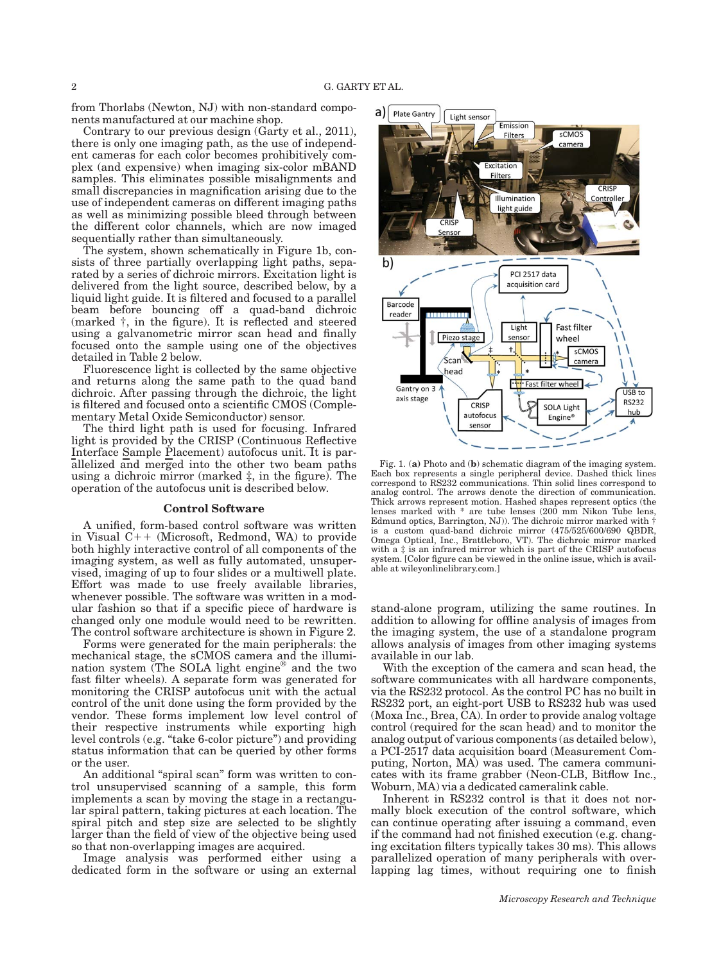from Thorlabs (Newton, NJ) with non-standard components manufactured at our machine shop.

Contrary to our previous design (Garty et al., 2011), there is only one imaging path, as the use of independent cameras for each color becomes prohibitively complex (and expensive) when imaging six-color mBAND samples. This eliminates possible misalignments and small discrepancies in magnification arising due to the use of independent cameras on different imaging paths as well as minimizing possible bleed through between the different color channels, which are now imaged sequentially rather than simultaneously.

The system, shown schematically in Figure 1b, consists of three partially overlapping light paths, separated by a series of dichroic mirrors. Excitation light is delivered from the light source, described below, by a liquid light guide. It is filtered and focused to a parallel beam before bouncing off a quad-band dichroic (marked †, in the figure). It is reflected and steered using a galvanometric mirror scan head and finally focused onto the sample using one of the objectives detailed in Table 2 below.

Fluorescence light is collected by the same objective and returns along the same path to the quad band dichroic. After passing through the dichroic, the light is filtered and focused onto a scientific CMOS (Complementary Metal Oxide Semiconductor) sensor.

The third light path is used for focusing. Infrared light is provided by the CRISP (Continuous Reflective Interface Sample Placement) autofocus unit. It is parallelized and merged into the other two beam paths using a dichroic mirror (marked  $\ddagger$ , in the figure). The operation of the autofocus unit is described below.

#### Control Software

A unified, form-based control software was written in Visual  $C++$  (Microsoft, Redmond, WA) to provide both highly interactive control of all components of the imaging system, as well as fully automated, unsupervised, imaging of up to four slides or a multiwell plate. Effort was made to use freely available libraries, whenever possible. The software was written in a modular fashion so that if a specific piece of hardware is changed only one module would need to be rewritten. The control software architecture is shown in Figure 2.

Forms were generated for the main peripherals: the mechanical stage, the sCMOS camera and the illumination system (The SOLA light engine<sup>®</sup> and the two fast filter wheels). A separate form was generated for monitoring the CRISP autofocus unit with the actual control of the unit done using the form provided by the vendor. These forms implement low level control of their respective instruments while exporting high level controls (e.g. "take 6-color picture") and providing status information that can be queried by other forms or the user.

An additional "spiral scan" form was written to control unsupervised scanning of a sample, this form implements a scan by moving the stage in a rectangular spiral pattern, taking pictures at each location. The spiral pitch and step size are selected to be slightly larger than the field of view of the objective being used so that non-overlapping images are acquired.

Image analysis was performed either using a dedicated form in the software or using an external



Fig. 1. (a) Photo and (b) schematic diagram of the imaging system. Each box represents a single peripheral device. Dashed thick lines correspond to RS232 communications. Thin solid lines correspond to analog control. The arrows denote the direction of communication. Thick arrows represent motion. Hashed shapes represent optics (the lenses marked with \* are tube lenses (200 mm Nikon Tube lens, Edmund optics, Barrington, NJ)). The dichroic mirror marked with † is a custom quad-band dichroic mirror (475/525/600/690 QBDR, Omega Optical, Inc., Brattleboro, VT). The dichroic mirror marked with a ‡ is an infrared mirror which is part of the CRISP autofocus system. [Color figure can be viewed in the online issue, which is available at [wileyonlinelibrary.com.](http://wileyonlinelibrary.com)]

stand-alone program, utilizing the same routines. In addition to allowing for offline analysis of images from the imaging system, the use of a standalone program allows analysis of images from other imaging systems available in our lab.

With the exception of the camera and scan head, the software communicates with all hardware components, via the RS232 protocol. As the control PC has no built in RS232 port, an eight-port USB to RS232 hub was used (Moxa Inc., Brea, CA). In order to provide analog voltage control (required for the scan head) and to monitor the analog output of various components (as detailed below), a PCI-2517 data acquisition board (Measurement Computing, Norton, MA) was used. The camera communicates with its frame grabber (Neon-CLB, Bitflow Inc., Woburn, MA) via a dedicated cameralink cable.

Inherent in RS232 control is that it does not normally block execution of the control software, which can continue operating after issuing a command, even if the command had not finished execution (e.g. changing excitation filters typically takes 30 ms). This allows parallelized operation of many peripherals with overlapping lag times, without requiring one to finish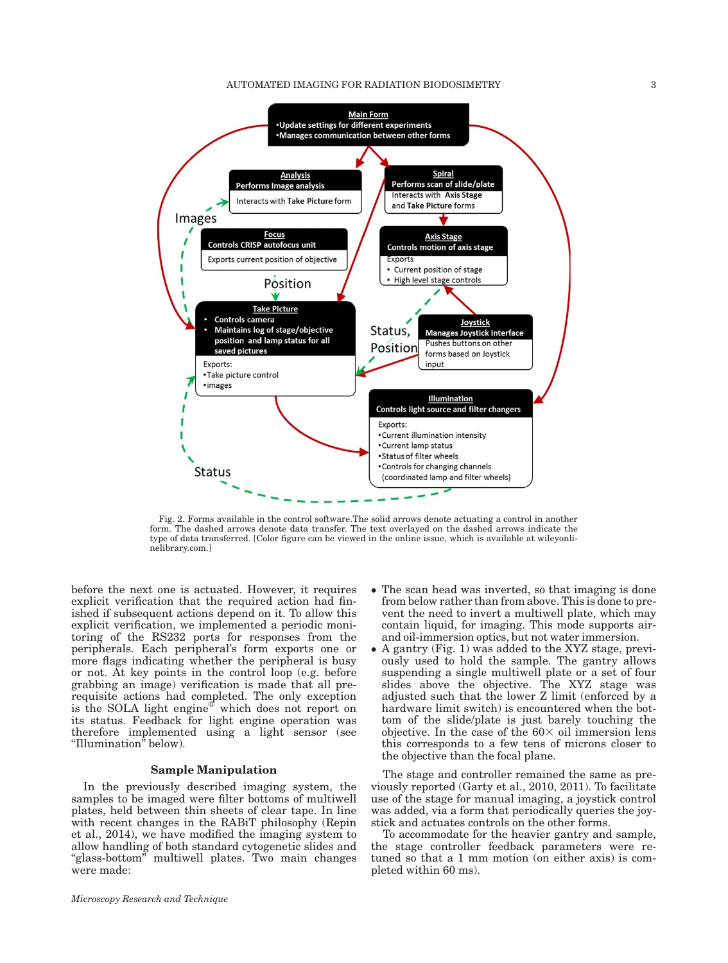#### AUTOMATED IMAGING FOR RADIATION BIODOSIMETRY 3



Fig. 2. Forms available in the control software.The solid arrows denote actuating a control in another form. The dashed arrows denote data transfer. The text overlayed on the dashed arrows indicate the type of data transferred. [Color figure can be viewed in the online issue, which is available at [wileyonli](http://wileyonlinelibrary.com)[nelibrary.com](http://wileyonlinelibrary.com).]

before the next one is actuated. However, it requires explicit verification that the required action had finished if subsequent actions depend on it. To allow this explicit verification, we implemented a periodic monitoring of the RS232 ports for responses from the peripherals. Each peripheral's form exports one or more flags indicating whether the peripheral is busy or not. At key points in the control loop (e.g. before grabbing an image) verification is made that all prerequisite actions had completed. The only exception is the SOLA light engine<sup>®</sup> which does not report on its status. Feedback for light engine operation was therefore implemented using a light sensor (see "Illumination" below).

## Sample Manipulation

In the previously described imaging system, the samples to be imaged were filter bottoms of multiwell plates, held between thin sheets of clear tape. In line with recent changes in the RABiT philosophy (Repin et al., 2014), we have modified the imaging system to allow handling of both standard cytogenetic slides and "glass-bottom" multiwell plates. Two main changes were made:

- The scan head was inverted, so that imaging is done from below rather than from above. This is done to prevent the need to invert a multiwell plate, which may contain liquid, for imaging. This mode supports airand oil-immersion optics, but not water immersion.
- A gantry (Fig. 1) was added to the XYZ stage, previously used to hold the sample. The gantry allows suspending a single multiwell plate or a set of four slides above the objective. The XYZ stage was adjusted such that the lower Z limit (enforced by a hardware limit switch) is encountered when the bottom of the slide/plate is just barely touching the objective. In the case of the  $60\times$  oil immersion lens this corresponds to a few tens of microns closer to the objective than the focal plane.

The stage and controller remained the same as previously reported (Garty et al., 2010, 2011). To facilitate use of the stage for manual imaging, a joystick control was added, via a form that periodically queries the joystick and actuates controls on the other forms.

To accommodate for the heavier gantry and sample, the stage controller feedback parameters were retuned so that a 1 mm motion (on either axis) is completed within 60 ms).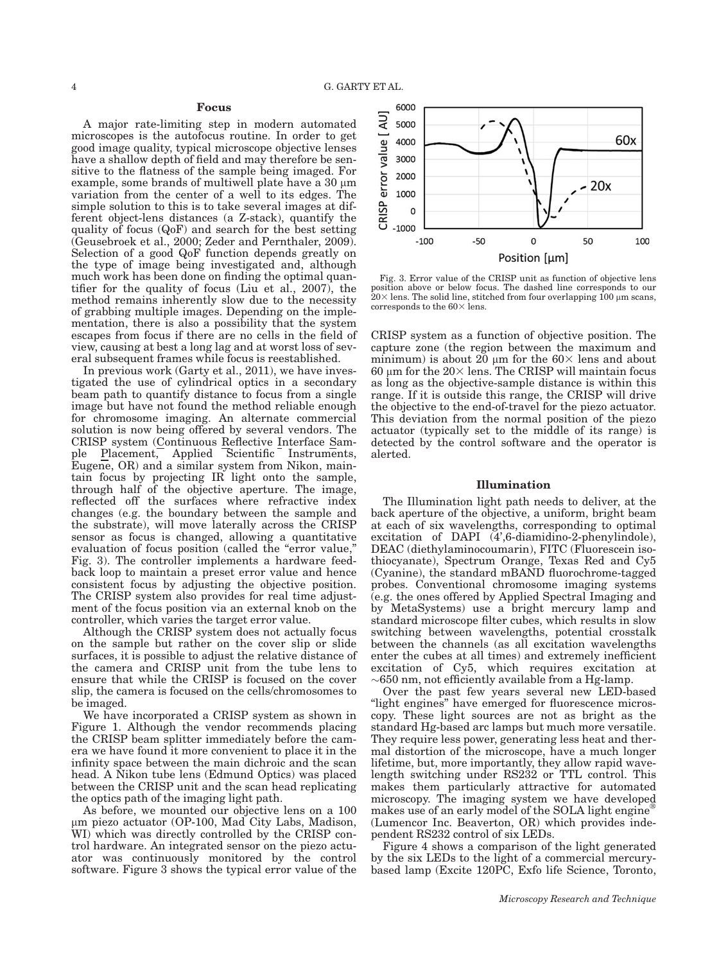## Focus

A major rate-limiting step in modern automated microscopes is the autofocus routine. In order to get good image quality, typical microscope objective lenses have a shallow depth of field and may therefore be sensitive to the flatness of the sample being imaged. For example, some brands of multiwell plate have a  $30 \mu m$ variation from the center of a well to its edges. The simple solution to this is to take several images at different object-lens distances (a Z-stack), quantify the quality of focus (QoF) and search for the best setting (Geusebroek et al., 2000; Zeder and Pernthaler, 2009). Selection of a good QoF function depends greatly on the type of image being investigated and, although much work has been done on finding the optimal quantifier for the quality of focus (Liu et al., 2007), the method remains inherently slow due to the necessity of grabbing multiple images. Depending on the implementation, there is also a possibility that the system escapes from focus if there are no cells in the field of view, causing at best a long lag and at worst loss of several subsequent frames while focus is reestablished.

In previous work (Garty et al., 2011), we have investigated the use of cylindrical optics in a secondary beam path to quantify distance to focus from a single image but have not found the method reliable enough for chromosome imaging. An alternate commercial solution is now being offered by several vendors. The CRISP system (Continuous Reflective Interface Sample Placement, Applied Scientific Instruments, Eugene, OR) and a similar system from Nikon, maintain focus by projecting IR light onto the sample, through half of the objective aperture. The image, reflected off the surfaces where refractive index changes (e.g. the boundary between the sample and the substrate), will move laterally across the CRISP sensor as focus is changed, allowing a quantitative evaluation of focus position (called the "error value," Fig. 3). The controller implements a hardware feedback loop to maintain a preset error value and hence consistent focus by adjusting the objective position. The CRISP system also provides for real time adjustment of the focus position via an external knob on the controller, which varies the target error value.

Although the CRISP system does not actually focus on the sample but rather on the cover slip or slide surfaces, it is possible to adjust the relative distance of the camera and CRISP unit from the tube lens to ensure that while the CRISP is focused on the cover slip, the camera is focused on the cells/chromosomes to be imaged.

We have incorporated a CRISP system as shown in Figure 1. Although the vendor recommends placing the CRISP beam splitter immediately before the camera we have found it more convenient to place it in the infinity space between the main dichroic and the scan head. A Nikon tube lens (Edmund Optics) was placed between the CRISP unit and the scan head replicating the optics path of the imaging light path.

As before, we mounted our objective lens on a 100 mm piezo actuator (OP-100, Mad City Labs, Madison, WI) which was directly controlled by the CRISP control hardware. An integrated sensor on the piezo actuator was continuously monitored by the control software. Figure 3 shows the typical error value of the



Fig. 3. Error value of the CRISP unit as function of objective lens position above or below focus. The dashed line corresponds to our  $20\times$  lens. The solid line, stitched from four overlapping 100  $\mu$ m scans, corresponds to the  $60\times$  lens.

CRISP system as a function of objective position. The capture zone (the region between the maximum and minimum) is about  $20 \mu m$  for the  $60 \times$  lens and about 60  $\mu$ m for the 20 $\times$  lens. The CRISP will maintain focus as long as the objective-sample distance is within this range. If it is outside this range, the CRISP will drive the objective to the end-of-travel for the piezo actuator. This deviation from the normal position of the piezo actuator (typically set to the middle of its range) is detected by the control software and the operator is alerted.

### Illumination

The Illumination light path needs to deliver, at the back aperture of the objective, a uniform, bright beam at each of six wavelengths, corresponding to optimal excitation of DAPI (4',6-diamidino-2-phenylindole), DEAC (diethylaminocoumarin), FITC (Fluorescein isothiocyanate), Spectrum Orange, Texas Red and Cy5 (Cyanine), the standard mBAND fluorochrome-tagged probes. Conventional chromosome imaging systems (e.g. the ones offered by Applied Spectral Imaging and by MetaSystems) use a bright mercury lamp and standard microscope filter cubes, which results in slow switching between wavelengths, potential crosstalk between the channels (as all excitation wavelengths enter the cubes at all times) and extremely inefficient excitation of Cy5, which requires excitation at  $\sim$  650 nm, not efficiently available from a Hg-lamp.

Over the past few years several new LED-based "light engines" have emerged for fluorescence microscopy. These light sources are not as bright as the standard Hg-based arc lamps but much more versatile. They require less power, generating less heat and thermal distortion of the microscope, have a much longer lifetime, but, more importantly, they allow rapid wavelength switching under RS232 or TTL control. This makes them particularly attractive for automated microscopy. The imaging system we have developed makes use of an early model of the SOLA light engine<sup>®</sup> (Lumencor Inc. Beaverton, OR) which provides independent RS232 control of six LEDs.

Figure 4 shows a comparison of the light generated by the six LEDs to the light of a commercial mercurybased lamp (Excite 120PC, Exfo life Science, Toronto,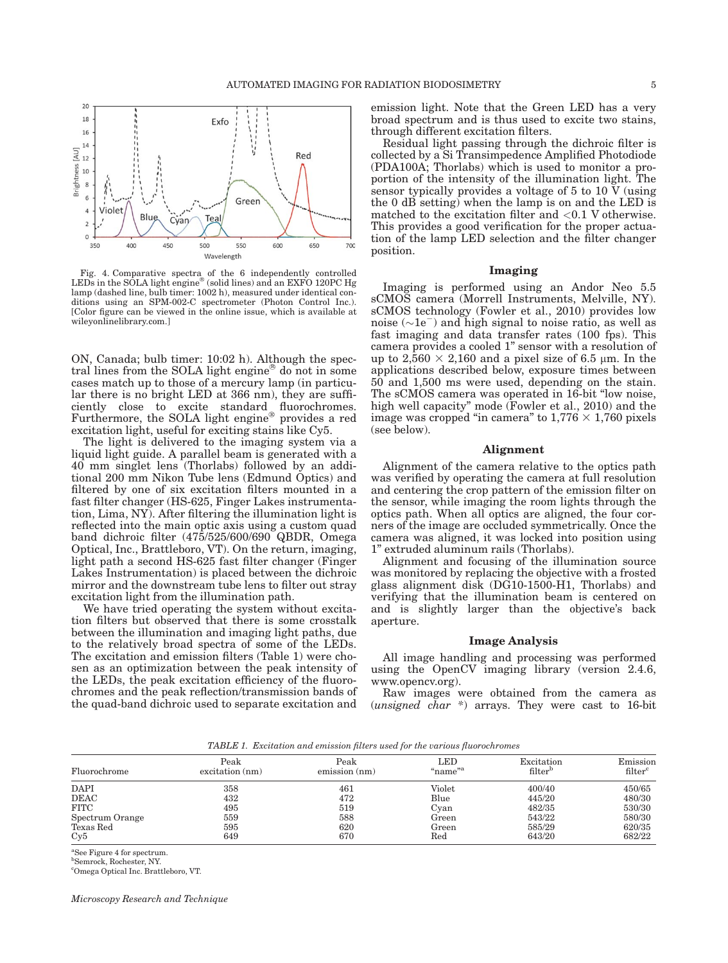

Fig. 4. Comparative spectra of the 6 independently controlled LEDs in the SOLA light engine<sup>®</sup> (solid lines) and an EXFO 120PC Hg lamp (dashed line, bulb timer: 1002 h), measured under identical con-ditions using an SPM-002-C spectrometer (Photon Control Inc.). [Color figure can be viewed in the online issue, which is available at [wileyonlinelibrary.com.](http://wileyonlinelibrary.com)]

ON, Canada; bulb timer: 10:02 h). Although the spectral lines from the SOLA light engine<sup>®</sup> do not in some cases match up to those of a mercury lamp (in particular there is no bright LED at 366 nm), they are sufficiently close to excite standard fluorochromes. Furthermore, the SOLA light engine® provides a red excitation light, useful for exciting stains like Cy5.

The light is delivered to the imaging system via a liquid light guide. A parallel beam is generated with a 40 mm singlet lens (Thorlabs) followed by an additional 200 mm Nikon Tube lens (Edmund Optics) and filtered by one of six excitation filters mounted in a fast filter changer (HS-625, Finger Lakes instrumentation, Lima, NY). After filtering the illumination light is reflected into the main optic axis using a custom quad band dichroic filter (475/525/600/690 QBDR, Omega Optical, Inc., Brattleboro, VT). On the return, imaging, light path a second HS-625 fast filter changer (Finger Lakes Instrumentation) is placed between the dichroic mirror and the downstream tube lens to filter out stray excitation light from the illumination path.

We have tried operating the system without excitation filters but observed that there is some crosstalk between the illumination and imaging light paths, due to the relatively broad spectra of some of the LEDs. The excitation and emission filters (Table 1) were chosen as an optimization between the peak intensity of the LEDs, the peak excitation efficiency of the fluorochromes and the peak reflection/transmission bands of the quad-band dichroic used to separate excitation and

emission light. Note that the Green LED has a very broad spectrum and is thus used to excite two stains, through different excitation filters.

Residual light passing through the dichroic filter is collected by a Si Transimpedence Amplified Photodiode (PDA100A; Thorlabs) which is used to monitor a proportion of the intensity of the illumination light. The sensor typically provides a voltage of 5 to 10  $\bar{V}$  (using the 0 dB setting) when the lamp is on and the LED is matched to the excitation filter and  $< 0.1$  V otherwise. This provides a good verification for the proper actuation of the lamp LED selection and the filter changer position.

#### Imaging

Imaging is performed using an Andor Neo 5.5 sCMOS camera (Morrell Instruments, Melville, NY). sCMOS technology (Fowler et al., 2010) provides low noise  $(\sim 1e^-)$  and high signal to noise ratio, as well as fast imaging and data transfer rates (100 fps). This camera provides a cooled 1" sensor with a resolution of up to  $2,560 \times 2,160$  and a pixel size of 6.5 µm. In the applications described below, exposure times between 50 and 1,500 ms were used, depending on the stain. The sCMOS camera was operated in 16-bit "low noise, high well capacity" mode (Fowler et al., 2010) and the image was cropped "in camera" to  $1,776 \times 1,760$  pixels (see below).

#### Alignment

Alignment of the camera relative to the optics path was verified by operating the camera at full resolution and centering the crop pattern of the emission filter on the sensor, while imaging the room lights through the optics path. When all optics are aligned, the four corners of the image are occluded symmetrically. Once the camera was aligned, it was locked into position using 1" extruded aluminum rails (Thorlabs).

Alignment and focusing of the illumination source was monitored by replacing the objective with a frosted glass alignment disk (DG10-1500-H1, Thorlabs) and verifying that the illumination beam is centered on and is slightly larger than the objective's back aperture.

#### Image Analysis

All image handling and processing was performed using the OpenCV imaging library (version 2.4.6, [www.opencv.org](http://www.opencv.org)).

Raw images were obtained from the camera as  $(unsigned$   $c\bar{h}ar$  \*) arrays. They were cast to 16-bit

TABLE 1. Excitation and emission filters used for the various fluorochromes

| Fluorochrome    | Peak              | Peak         | LED                 | Excitation          | Emission            |
|-----------------|-------------------|--------------|---------------------|---------------------|---------------------|
|                 | $excitation$ (nm) | emission(nm) | "name" <sup>a</sup> | filter <sup>b</sup> | filter <sup>c</sup> |
| <b>DAPI</b>     | 358               | 461          | Violet              | 400/40              | 450/65              |
| <b>DEAC</b>     | 432               | 472          | Blue                | 445/20              | 480/30              |
| <b>FITC</b>     | 495               | 519          | Cvan                | 482/35              | 530/30              |
| Spectrum Orange | 559               | 588          | Green               | 543/22              | 580/30              |
| Texas Red       | 595               | 620          | Green               | 585/29              | 620/35              |
| Cy5             | 649               | 670          | Red                 | 643/20              | 682/22              |

a See Figure 4 for spectrum.

b Semrock, Rochester, NY.

c Omega Optical Inc. Brattleboro, VT.

Microscopy Research and Technique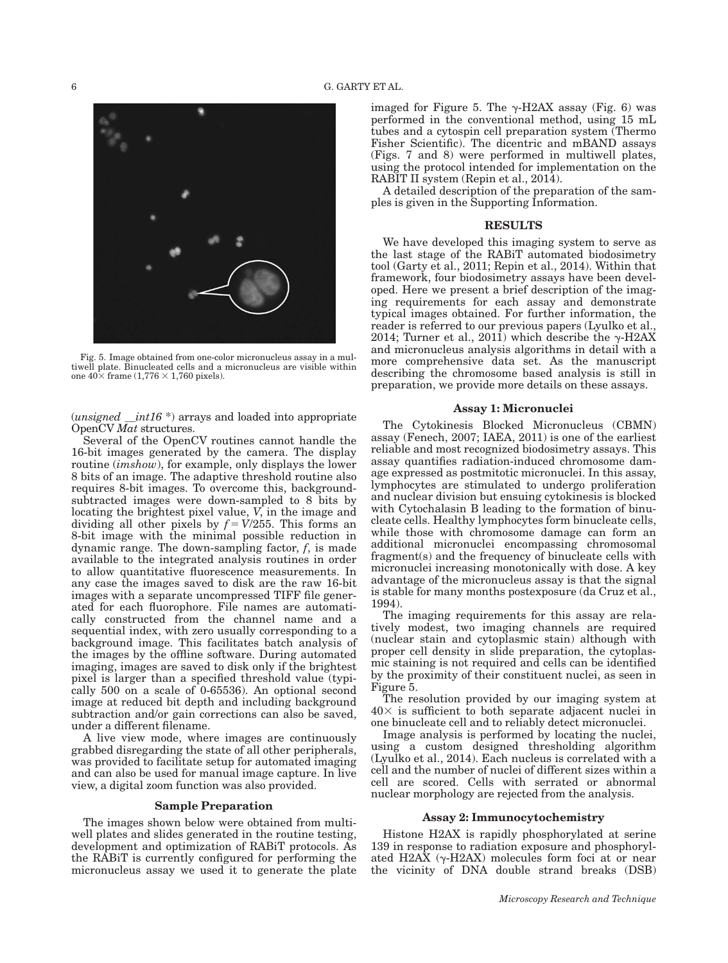

Fig. 5. Image obtained from one-color micronucleus assay in a multiwell plate. Binucleated cells and a micronucleus are visible within one  $40\times$  frame  $(1,776\times 1,760)$  pixels).

(*unsigned*  $\__int16$   $\degree$ ) arrays and loaded into appropriate OpenCV Mat structures.

Several of the OpenCV routines cannot handle the 16-bit images generated by the camera. The display routine (*imshow*), for example, only displays the lower 8 bits of an image. The adaptive threshold routine also requires 8-bit images. To overcome this, backgroundsubtracted images were down-sampled to 8 bits by locating the brightest pixel value, V, in the image and dividing all other pixels by  $f = V/255$ . This forms an 8-bit image with the minimal possible reduction in dynamic range. The down-sampling factor,  $f$ , is made available to the integrated analysis routines in order to allow quantitative fluorescence measurements. In any case the images saved to disk are the raw 16-bit images with a separate uncompressed TIFF file generated for each fluorophore. File names are automatically constructed from the channel name and a sequential index, with zero usually corresponding to a background image. This facilitates batch analysis of the images by the offline software. During automated imaging, images are saved to disk only if the brightest pixel is larger than a specified threshold value (typically 500 on a scale of 0-65536). An optional second image at reduced bit depth and including background subtraction and/or gain corrections can also be saved, under a different filename.

A live view mode, where images are continuously grabbed disregarding the state of all other peripherals, was provided to facilitate setup for automated imaging and can also be used for manual image capture. In live view, a digital zoom function was also provided.

## Sample Preparation

The images shown below were obtained from multiwell plates and slides generated in the routine testing, development and optimization of RABiT protocols. As the RABiT is currently configured for performing the micronucleus assay we used it to generate the plate imaged for Figure 5. The  $\gamma$ -H2AX assay (Fig. 6) was performed in the conventional method, using 15 mL tubes and a cytospin cell preparation system (Thermo Fisher Scientific). The dicentric and mBAND assays (Figs. 7 and 8) were performed in multiwell plates, using the protocol intended for implementation on the RABIT II system (Repin et al., 2014).

A detailed description of the preparation of the samples is given in the Supporting Information.

#### **RESULTS**

We have developed this imaging system to serve as the last stage of the RABiT automated biodosimetry tool (Garty et al., 2011; Repin et al., 2014). Within that framework, four biodosimetry assays have been developed. Here we present a brief description of the imaging requirements for each assay and demonstrate typical images obtained. For further information, the reader is referred to our previous papers (Lyulko et al., 2014; Turner et al., 2011) which describe the  $\gamma$ -H2AX and micronucleus analysis algorithms in detail with a more comprehensive data set. As the manuscript describing the chromosome based analysis is still in preparation, we provide more details on these assays.

#### Assay 1: Micronuclei

The Cytokinesis Blocked Micronucleus (CBMN) assay (Fenech, 2007; IAEA, 2011) is one of the earliest reliable and most recognized biodosimetry assays. This assay quantifies radiation-induced chromosome damage expressed as postmitotic micronuclei. In this assay, lymphocytes are stimulated to undergo proliferation and nuclear division but ensuing cytokinesis is blocked with Cytochalasin B leading to the formation of binucleate cells. Healthy lymphocytes form binucleate cells, while those with chromosome damage can form an additional micronuclei encompassing chromosomal fragment(s) and the frequency of binucleate cells with micronuclei increasing monotonically with dose. A key advantage of the micronucleus assay is that the signal is stable for many months postexposure (da Cruz et al., 1994).

The imaging requirements for this assay are relatively modest, two imaging channels are required (nuclear stain and cytoplasmic stain) although with proper cell density in slide preparation, the cytoplasmic staining is not required and cells can be identified by the proximity of their constituent nuclei, as seen in Figure 5.

The resolution provided by our imaging system at  $40\times$  is sufficient to both separate adjacent nuclei in one binucleate cell and to reliably detect micronuclei.

Image analysis is performed by locating the nuclei, using a custom designed thresholding algorithm (Lyulko et al., 2014). Each nucleus is correlated with a cell and the number of nuclei of different sizes within a cell are scored. Cells with serrated or abnormal nuclear morphology are rejected from the analysis.

## Assay 2: Immunocytochemistry

Histone H2AX is rapidly phosphorylated at serine 139 in response to radiation exposure and phosphorylated H2AX  $(\gamma$ -H2AX) molecules form foci at or near the vicinity of DNA double strand breaks (DSB)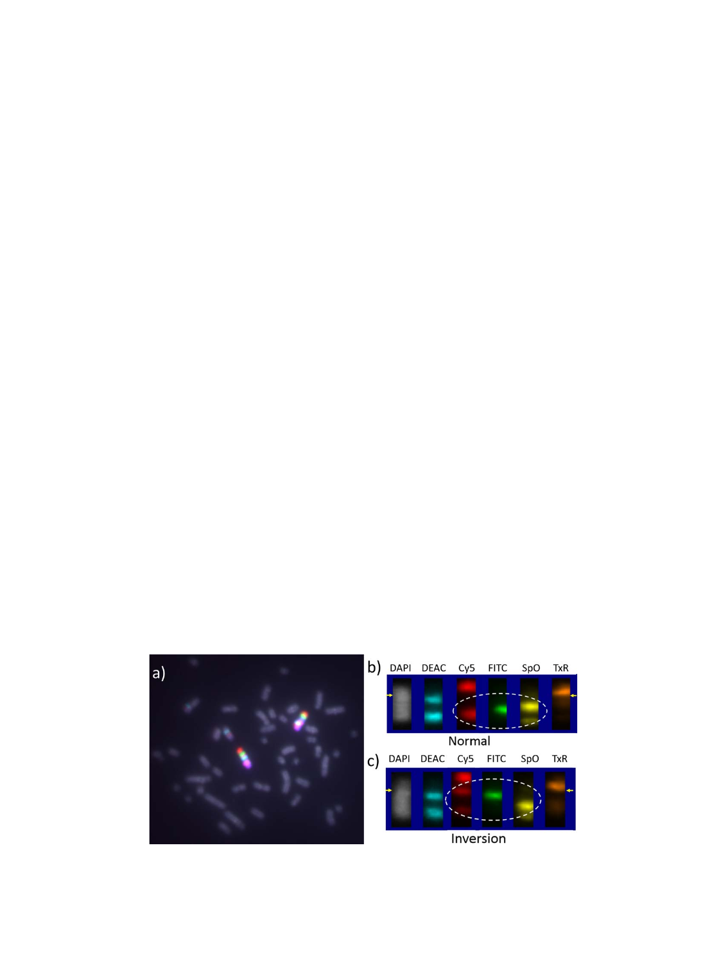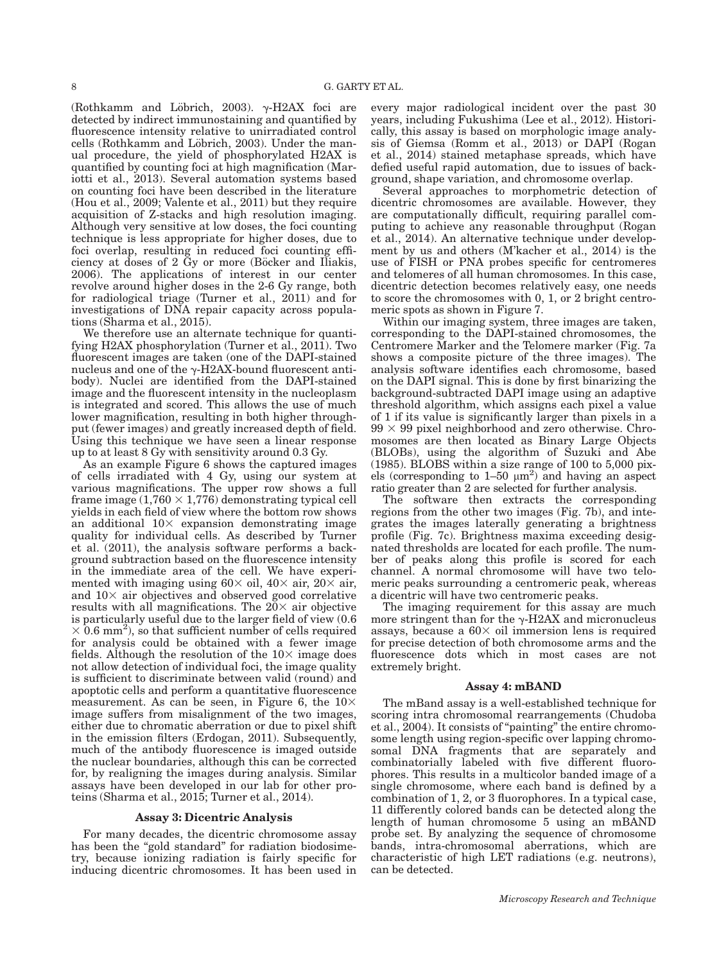(Rothkamm and Löbrich, 2003).  $\gamma$ -H2AX foci are detected by indirect immunostaining and quantified by fluorescence intensity relative to unirradiated control cells (Rothkamm and Löbrich, 2003). Under the manual procedure, the yield of phosphorylated H2AX is quantified by counting foci at high magnification (Mariotti et al., 2013). Several automation systems based on counting foci have been described in the literature (Hou et al., 2009; Valente et al., 2011) but they require acquisition of Z-stacks and high resolution imaging. Although very sensitive at low doses, the foci counting technique is less appropriate for higher doses, due to foci overlap, resulting in reduced foci counting efficiency at doses of 2 Gy or more (Böcker and Iliakis, 2006). The applications of interest in our center revolve around higher doses in the 2-6 Gy range, both for radiological triage (Turner et al., 2011) and for investigations of DNA repair capacity across populations (Sharma et al., 2015).

We therefore use an alternate technique for quantifying H2AX phosphorylation (Turner et al., 2011). Two fluorescent images are taken (one of the DAPI-stained nucleus and one of the  $\gamma$ -H2AX-bound fluorescent antibody). Nuclei are identified from the DAPI-stained image and the fluorescent intensity in the nucleoplasm is integrated and scored. This allows the use of much lower magnification, resulting in both higher throughput (fewer images) and greatly increased depth of field. Using this technique we have seen a linear response up to at least 8 Gy with sensitivity around 0.3 Gy.

As an example Figure 6 shows the captured images of cells irradiated with 4 Gy, using our system at various magnifications. The upper row shows a full frame image  $(1,760 \times 1,776)$  demonstrating typical cell yields in each field of view where the bottom row shows an additional  $10\times$  expansion demonstrating image quality for individual cells. As described by Turner et al. (2011), the analysis software performs a background subtraction based on the fluorescence intensity in the immediate area of the cell. We have experimented with imaging using  $60 \times$  oil,  $40 \times$  air,  $20 \times$  air, and  $10\times$  air objectives and observed good correlative results with all magnifications. The  $20\times$  air objective is particularly useful due to the larger field of view (0.6  $\times$  0.6 mm<sup>2</sup>), so that sufficient number of cells required for analysis could be obtained with a fewer image fields. Although the resolution of the  $10\times$  image does not allow detection of individual foci, the image quality is sufficient to discriminate between valid (round) and apoptotic cells and perform a quantitative fluorescence measurement. As can be seen, in Figure 6, the  $10\times$ image suffers from misalignment of the two images, either due to chromatic aberration or due to pixel shift in the emission filters (Erdogan, 2011). Subsequently, much of the antibody fluorescence is imaged outside the nuclear boundaries, although this can be corrected for, by realigning the images during analysis. Similar assays have been developed in our lab for other proteins (Sharma et al., 2015; Turner et al., 2014).

#### Assay 3: Dicentric Analysis

For many decades, the dicentric chromosome assay has been the "gold standard" for radiation biodosimetry, because ionizing radiation is fairly specific for inducing dicentric chromosomes. It has been used in

every major radiological incident over the past 30 years, including Fukushima (Lee et al., 2012). Historically, this assay is based on morphologic image analysis of Giemsa (Romm et al., 2013) or DAPI (Rogan et al., 2014) stained metaphase spreads, which have defied useful rapid automation, due to issues of background, shape variation, and chromosome overlap.

Several approaches to morphometric detection of dicentric chromosomes are available. However, they are computationally difficult, requiring parallel computing to achieve any reasonable throughput (Rogan et al., 2014). An alternative technique under development by us and others (M'kacher et al., 2014) is the use of FISH or PNA probes specific for centromeres and telomeres of all human chromosomes. In this case, dicentric detection becomes relatively easy, one needs to score the chromosomes with 0, 1, or 2 bright centromeric spots as shown in Figure 7.

Within our imaging system, three images are taken, corresponding to the DAPI-stained chromosomes, the Centromere Marker and the Telomere marker (Fig. 7a shows a composite picture of the three images). The analysis software identifies each chromosome, based on the DAPI signal. This is done by first binarizing the background-subtracted DAPI image using an adaptive threshold algorithm, which assigns each pixel a value of 1 if its value is significantly larger than pixels in a  $99 \times 99$  pixel neighborhood and zero otherwise. Chromosomes are then located as Binary Large Objects (BLOBs), using the algorithm of Suzuki and Abe (1985). BLOBS within a size range of 100 to 5,000 pixels (corresponding to  $1-50 \mu m^2$ ) and having an aspect ratio greater than 2 are selected for further analysis.

The software then extracts the corresponding regions from the other two images (Fig. 7b), and integrates the images laterally generating a brightness profile (Fig. 7c). Brightness maxima exceeding designated thresholds are located for each profile. The number of peaks along this profile is scored for each channel. A normal chromosome will have two telomeric peaks surrounding a centromeric peak, whereas a dicentric will have two centromeric peaks.

The imaging requirement for this assay are much more stringent than for the  $\gamma$ -H2AX and micronucleus assays, because a  $60\times$  oil immersion lens is required for precise detection of both chromosome arms and the fluorescence dots which in most cases are not extremely bright.

#### Assay 4: mBAND

The mBand assay is a well-established technique for scoring intra chromosomal rearrangements (Chudoba et al., 2004). It consists of "painting" the entire chromosome length using region-specific over lapping chromosomal DNA fragments that are separately and combinatorially labeled with five different fluorophores. This results in a multicolor banded image of a single chromosome, where each band is defined by a combination of 1, 2, or 3 fluorophores. In a typical case, 11 differently colored bands can be detected along the length of human chromosome 5 using an mBAND probe set. By analyzing the sequence of chromosome bands, intra-chromosomal aberrations, which are characteristic of high LET radiations (e.g. neutrons), can be detected.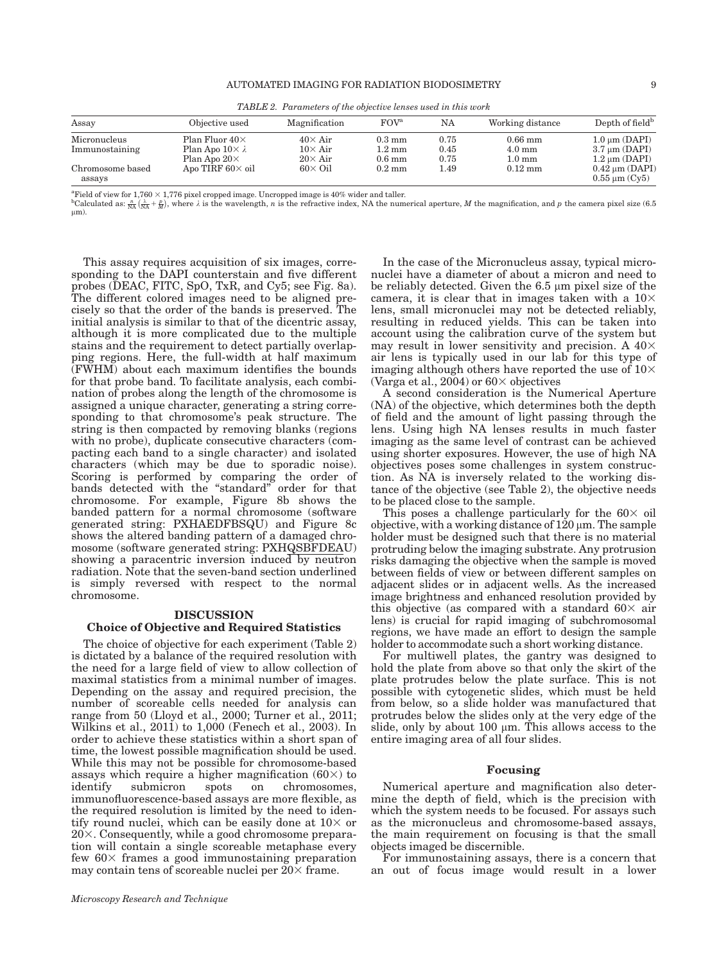| <b>Tribile</b> 2. I an annother of the concentre tentoco attent theo world |                                                                              |                                                    |                                                          |                      |                                                   |                                                                |  |  |
|----------------------------------------------------------------------------|------------------------------------------------------------------------------|----------------------------------------------------|----------------------------------------------------------|----------------------|---------------------------------------------------|----------------------------------------------------------------|--|--|
| Assay                                                                      | Objective used                                                               | Magnification                                      | FOV <sup>a</sup>                                         | NA                   | Working distance                                  | Depth of field <sup>b</sup>                                    |  |  |
| Micronucleus<br>Immunostaining                                             | Plan Fluor $40\times$<br>Plan Apo $10 \times \lambda$<br>Plan Apo $20\times$ | $40\times$ Air<br>$10\times$ Air<br>$20\times$ Air | $0.3 \text{ mm}$<br>$1.2 \text{ mm}$<br>$0.6 \text{ mm}$ | 0.75<br>0.45<br>0.75 | $0.66$ mm<br>$4.0 \text{ mm}$<br>$1.0 \text{ mm}$ | $1.0 \mu m$ (DAPI)<br>$3.7 \mu m (DAPI)$<br>$1.2 \mu m (DAPI)$ |  |  |
| Chromosome based<br>assays                                                 | Apo TIRF $60\times$ oil                                                      | $60 \times$ Oil                                    | $0.2 \text{ mm}$                                         | 1.49                 | $0.12 \text{ mm}$                                 | $0.42 \mu m (DAPI)$<br>$0.55$ um $(Cv5)$                       |  |  |

TABLE 2. Parameters of the objective lenses used in this work

<sup>a</sup> Field of view for 1,760  $\times$  1,776 pixel cropped image. Uncropped image is 40% wider and taller.

Calculated as:  $\frac{n}{N_A}(\frac{\lambda}{NA} + \frac{N}{M})$ , where k is the wavelength, n is the refractive index, NA the numerical aperture, M the magnification, and p the camera pixel size (6.5)  $um$ ).

This assay requires acquisition of six images, corresponding to the DAPI counterstain and five different probes (DEAC, FITC, SpO, TxR, and Cy5; see Fig. 8a). The different colored images need to be aligned precisely so that the order of the bands is preserved. The initial analysis is similar to that of the dicentric assay, although it is more complicated due to the multiple stains and the requirement to detect partially overlapping regions. Here, the full-width at half maximum (FWHM) about each maximum identifies the bounds for that probe band. To facilitate analysis, each combination of probes along the length of the chromosome is assigned a unique character, generating a string corresponding to that chromosome's peak structure. The string is then compacted by removing blanks (regions with no probe), duplicate consecutive characters (compacting each band to a single character) and isolated characters (which may be due to sporadic noise). Scoring is performed by comparing the order of bands detected with the "standard" order for that chromosome. For example, Figure 8b shows the banded pattern for a normal chromosome (software generated string: PXHAEDFBSQU) and Figure 8c shows the altered banding pattern of a damaged chromosome (software generated string: PXHQSBFDEAU) showing a paracentric inversion induced by neutron radiation. Note that the seven-band section underlined is simply reversed with respect to the normal chromosome.

#### DISCUSSION

#### Choice of Objective and Required Statistics

The choice of objective for each experiment (Table 2) is dictated by a balance of the required resolution with the need for a large field of view to allow collection of maximal statistics from a minimal number of images. Depending on the assay and required precision, the number of scoreable cells needed for analysis can range from 50 (Lloyd et al., 2000; Turner et al., 2011; Wilkins et al., 2011) to 1,000 (Fenech et al., 2003). In order to achieve these statistics within a short span of time, the lowest possible magnification should be used. While this may not be possible for chromosome-based assays which require a higher magnification  $(60\times)$  to identify submicron spots on chromosomes, immunofluorescence-based assays are more flexible, as the required resolution is limited by the need to identify round nuclei, which can be easily done at  $10\times$  or  $20\times$ . Consequently, while a good chromosome preparation will contain a single scoreable metaphase every few  $60\times$  frames a good immunostaining preparation may contain tens of scoreable nuclei per  $20\times$  frame.

In the case of the Micronucleus assay, typical micronuclei have a diameter of about a micron and need to be reliably detected. Given the  $6.5 \mu m$  pixel size of the camera, it is clear that in images taken with a  $10\times$ lens, small micronuclei may not be detected reliably, resulting in reduced yields. This can be taken into account using the calibration curve of the system but may result in lower sensitivity and precision. A  $40\times$ air lens is typically used in our lab for this type of imaging although others have reported the use of  $10\times$ (Varga et al., 2004) or  $60\times$  objectives

A second consideration is the Numerical Aperture (NA) of the objective, which determines both the depth of field and the amount of light passing through the lens. Using high NA lenses results in much faster imaging as the same level of contrast can be achieved using shorter exposures. However, the use of high NA objectives poses some challenges in system construction. As NA is inversely related to the working distance of the objective (see Table 2), the objective needs to be placed close to the sample.

This poses a challenge particularly for the  $60\times$  oil objective, with a working distance of  $120 \mu m$ . The sample holder must be designed such that there is no material protruding below the imaging substrate. Any protrusion risks damaging the objective when the sample is moved between fields of view or between different samples on adjacent slides or in adjacent wells. As the increased image brightness and enhanced resolution provided by this objective (as compared with a standard  $60\times$  air lens) is crucial for rapid imaging of subchromosomal regions, we have made an effort to design the sample holder to accommodate such a short working distance.

For multiwell plates, the gantry was designed to hold the plate from above so that only the skirt of the plate protrudes below the plate surface. This is not possible with cytogenetic slides, which must be held from below, so a slide holder was manufactured that protrudes below the slides only at the very edge of the slide, only by about 100  $\mu$ m. This allows access to the entire imaging area of all four slides.

#### Focusing

Numerical aperture and magnification also determine the depth of field, which is the precision with which the system needs to be focused. For assays such as the micronucleus and chromosome-based assays, the main requirement on focusing is that the small objects imaged be discernible.

For immunostaining assays, there is a concern that an out of focus image would result in a lower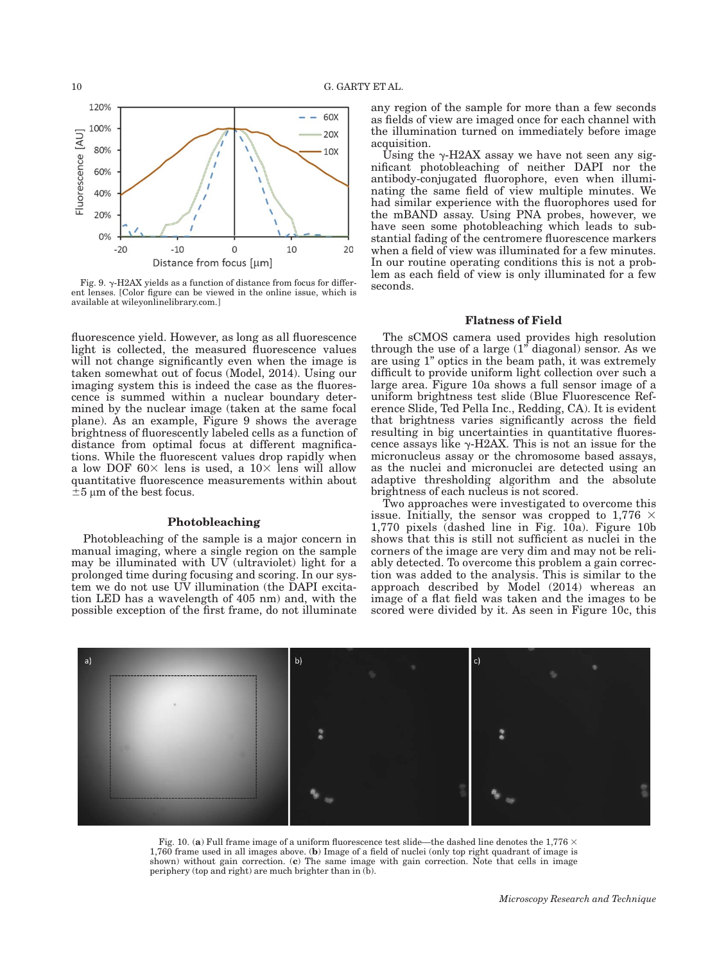

Fig. 9.  $\gamma$ -H2AX yields as a function of distance from focus for different lenses. [Color figure can be viewed in the online issue, which is available at [wileyonlinelibrary.com.](http://wileyonlinelibrary.com)]

fluorescence yield. However, as long as all fluorescence light is collected, the measured fluorescence values will not change significantly even when the image is taken somewhat out of focus (Model, 2014). Using our imaging system this is indeed the case as the fluorescence is summed within a nuclear boundary determined by the nuclear image (taken at the same focal plane). As an example, Figure 9 shows the average brightness of fluorescently labeled cells as a function of distance from optimal focus at different magnifications. While the fluorescent values drop rapidly when a low DOF  $60\times$  lens is used, a  $10\times$  lens will allow quantitative fluorescence measurements within about  $\pm 5$  µm of the best focus.

## Photobleaching

Photobleaching of the sample is a major concern in manual imaging, where a single region on the sample may be illuminated with UV (ultraviolet) light for a prolonged time during focusing and scoring. In our system we do not use UV illumination (the DAPI excitation LED has a wavelength of 405 nm) and, with the possible exception of the first frame, do not illuminate

any region of the sample for more than a few seconds as fields of view are imaged once for each channel with the illumination turned on immediately before image acquisition.

Using the  $\gamma$ -H2AX assay we have not seen any significant photobleaching of neither DAPI nor the antibody-conjugated fluorophore, even when illuminating the same field of view multiple minutes. We had similar experience with the fluorophores used for the mBAND assay. Using PNA probes, however, we have seen some photobleaching which leads to substantial fading of the centromere fluorescence markers when a field of view was illuminated for a few minutes. In our routine operating conditions this is not a problem as each field of view is only illuminated for a few seconds.

## Flatness of Field

The sCMOS camera used provides high resolution through the use of a large (1" diagonal) sensor. As we are using 1" optics in the beam path, it was extremely difficult to provide uniform light collection over such a large area. Figure 10a shows a full sensor image of a uniform brightness test slide (Blue Fluorescence Reference Slide, Ted Pella Inc., Redding, CA). It is evident that brightness varies significantly across the field resulting in big uncertainties in quantitative fluorescence assays like  $\gamma$ -H2AX. This is not an issue for the micronucleus assay or the chromosome based assays, as the nuclei and micronuclei are detected using an adaptive thresholding algorithm and the absolute brightness of each nucleus is not scored.

Two approaches were investigated to overcome this issue. Initially, the sensor was cropped to  $1,776 \times$  $1,770$  pixels (dashed line in Fig.  $10a$ ). Figure 10b shows that this is still not sufficient as nuclei in the corners of the image are very dim and may not be reliably detected. To overcome this problem a gain correction was added to the analysis. This is similar to the approach described by Model (2014) whereas an image of a flat field was taken and the images to be scored were divided by it. As seen in Figure 10c, this



Fig. 10. (a) Full frame image of a uniform fluorescence test slide—the dashed line denotes the 1.776  $\times$ 1,760 frame used in all images above. (b) Image of a field of nuclei (only top right quadrant of image is shown) without gain correction. (c) The same image with gain correction. Note that cells in image periphery (top and right) are much brighter than in  $(\bar{b})$ .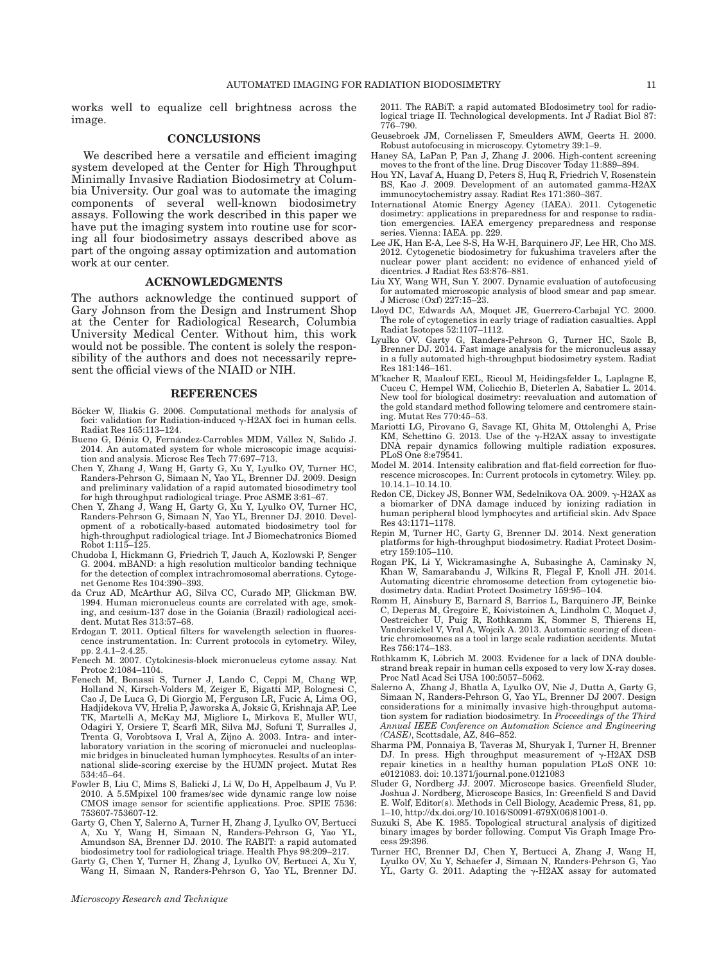works well to equalize cell brightness across the image.

#### CONCLUSIONS

We described here a versatile and efficient imaging system developed at the Center for High Throughput Minimally Invasive Radiation Biodosimetry at Columbia University. Our goal was to automate the imaging components of several well-known biodosimetry assays. Following the work described in this paper we have put the imaging system into routine use for scoring all four biodosimetry assays described above as part of the ongoing assay optimization and automation work at our center.

#### ACKNOWLEDGMENTS

The authors acknowledge the continued support of Gary Johnson from the Design and Instrument Shop at the Center for Radiological Research, Columbia University Medical Center. Without him, this work would not be possible. The content is solely the responsibility of the authors and does not necessarily represent the official views of the NIAID or NIH.

#### REFERENCES

- Böcker W, Iliakis G. 2006. Computational methods for analysis of foci: validation for Radiation-induced  $\gamma$ -H2AX foci in human cells. Radiat Res 165:113–124.
- Bueno G, Déniz O, Fernández-Carrobles MDM, Vállez N, Salido J. 2014. An automated system for whole microscopic image acquisition and analysis. Microsc Res Tech 77:697–713.
- Chen Y, Zhang J, Wang H, Garty G, Xu Y, Lyulko OV, Turner HC, Randers-Pehrson G, Simaan N, Yao YL, Brenner DJ. 2009. Design and preliminary validation of a rapid automated biosodimetry tool for high throughput radiological triage. Proc ASME 3:61–67.
- Chen Y, Zhang J, Wang H, Garty G, Xu Y, Lyulko OV, Turner HC, Randers-Pehrson G, Simaan N, Yao YL, Brenner DJ. 2010. Development of a robotically-based automated biodosimetry tool for high-throughput radiological triage. Int J Biomechatronics Biomed Robot 1:115–125.
- Chudoba I, Hickmann G, Friedrich T, Jauch A, Kozlowski P, Senger G. 2004. mBAND: a high resolution multicolor banding technique for the detection of complex intrachromosomal aberrations. Cytogenet Genome Res 104:390–393.
- da Cruz AD, McArthur AG, Silva CC, Curado MP, Glickman BW. 1994. Human micronucleus counts are correlated with age, smoking, and cesium-137 dose in the Goiania (Brazil) radiological accident. Mutat Res 313:57–68.
- Erdogan T. 2011. Optical filters for wavelength selection in fluorescence instrumentation. In: Current protocols in cytometry. Wiley, pp. 2.4.1–2.4.25.
- Fenech M. 2007. Cytokinesis-block micronucleus cytome assay. Nat Protoc 2:1084–1104.
- Fenech M, Bonassi S, Turner J, Lando C, Ceppi M, Chang WP, Holland N, Kirsch-Volders M, Zeiger E, Bigatti MP, Bolognesi C, Cao J, De Luca G, Di Giorgio M, Ferguson LR, Fucic A, Lima OG, Hadjidekova VV, Hrelia P, Jaworska A, Joksic G, Krishnaja AP, Lee TK, Martelli A, McKay MJ, Migliore L, Mirkova E, Muller WU, Odagiri Y, Orsiere T, Scarfi MR, Silva MJ, Sofuni T, Surralles J, Trenta G, Vorobtsova I, Vral A, Zijno A. 2003. Intra- and interlaboratory variation in the scoring of micronuclei and nucleoplasmic bridges in binucleated human lymphocytes. Results of an international slide-scoring exercise by the HUMN project. Mutat Res 534:45–64.
- Fowler B, Liu C, Mims S, Balicki J, Li W, Do H, Appelbaum J, Vu P. 2010. A 5.5Mpixel 100 frames/sec wide dynamic range low noise CMOS image sensor for scientific applications. Proc. SPIE 7536: 753607-753607-12.
- Garty G, Chen Y, Salerno A, Turner H, Zhang J, Lyulko OV, Bertucci A, Xu Y, Wang H, Simaan N, Randers-Pehrson G, Yao YL, Amundson SA, Brenner DJ. 2010. The RABIT: a rapid automated biodosimetry tool for radiological triage. Health Phys 98:209–217.
- Garty G, Chen Y, Turner H, Zhang J, Lyulko OV, Bertucci A, Xu Y, Wang H, Simaan N, Randers-Pehrson G, Yao YL, Brenner DJ.

2011. The RABiT: a rapid automated BIodosimetry tool for radiological triage II. Technological developments. Int J Radiat Biol 87: 776–790.

- Geusebroek JM, Cornelissen F, Smeulders AWM, Geerts H. 2000. Robust autofocusing in microscopy. Cytometry 39:1–9.
- Haney SA, LaPan P, Pan J, Zhang J. 2006. High-content screening moves to the front of the line. Drug Discover Today 11:889–894.
- Hou YN, Lavaf A, Huang D, Peters S, Huq R, Friedrich V, Rosenstein BS, Kao J. 2009. Development of an automated gamma-H2AX immunocytochemistry assay. Radiat Res 171:360–367.
- International Atomic Energy Agency (IAEA). 2011. Cytogenetic dosimetry: applications in preparedness for and response to radiation emergencies. IAEA emergency preparedness and response series. Vienna: IAEA. pp. 229.
- Lee JK, Han E-A, Lee S-S, Ha W-H, Barquinero JF, Lee HR, Cho MS. 2012. Cytogenetic biodosimetry for fukushima travelers after the nuclear power plant accident: no evidence of enhanced yield of dicentrics. J Radiat Res 53:876–881.
- Liu XY, Wang WH, Sun Y. 2007. Dynamic evaluation of autofocusing for automated microscopic analysis of blood smear and pap smear. J Microsc (Oxf) 227:15–23.
- Lloyd DC, Edwards AA, Moquet JE, Guerrero-Carbajal YC. 2000. The role of cytogenetics in early triage of radiation casualties. Appl Radiat Isotopes 52:1107–1112.
- Lyulko OV, Garty G, Randers-Pehrson G, Turner HC, Szolc B, Brenner DJ. 2014. Fast image analysis for the micronucleus assay in a fully automated high-throughput biodosimetry system. Radiat Res 181:146–161.
- M'kacher R, Maalouf EEL, Ricoul M, Heidingsfelder L, Laplagne E, Cuceu C, Hempel WM, Colicchio B, Dieterlen A, Sabatier L. 2014. New tool for biological dosimetry: reevaluation and automation of the gold standard method following telomere and centromere staining. Mutat Res 770:45–53.
- Mariotti LG, Pirovano G, Savage KI, Ghita M, Ottolenghi A, Prise KM, Schettino G. 2013. Use of the  $\gamma$ -H2AX assay to investigate DNA repair dynamics following multiple radiation exposures. PLoS One 8:e79541.
- Model M. 2014. Intensity calibration and flat-field correction for fluorescence microscopes. In: Current protocols in cytometry. Wiley. pp. 10.14.1–10.14.10.
- Redon CE, Dickey JS, Bonner WM, Sedelnikova OA. 2009.  $\gamma$ -H2AX as a biomarker of DNA damage induced by ionizing radiation in human peripheral blood lymphocytes and artificial skin. Adv Space Res 43:1171–1178.
- Repin M, Turner HC, Garty G, Brenner DJ. 2014. Next generation platforms for high-throughput biodosimetry. Radiat Protect Dosimetry 159:105–110.
- Rogan PK, Li Y, Wickramasinghe A, Subasinghe A, Caminsky N, Khan W, Samarabandu J, Wilkins R, Flegal F, Knoll JH. 2014. Automating dicentric chromosome detection from cytogenetic biodosimetry data. Radiat Protect Dosimetry 159:95–104.
- Romm H, Ainsbury E, Barnard S, Barrios L, Barquinero JF, Beinke C, Deperas M, Gregoire E, Koivistoinen A, Lindholm C, Moquet J, Oestreicher U, Puig R, Rothkamm K, Sommer S, Thierens H, Vandersickel V, Vral A, Wojcik A. 2013. Automatic scoring of dicentric chromosomes as a tool in large scale radiation accidents. Mutat Res 756:174–183.
- Rothkamm K, Löbrich M. 2003. Evidence for a lack of DNA doublestrand break repair in human cells exposed to very low X-ray doses. Proc Natl Acad Sci USA 100:5057–5062.
- Salerno A, Zhang J, Bhatla A, Lyulko OV, Nie J, Dutta A, Garty G, Simaan N, Randers-Pehrson G, Yao YL, Brenner DJ 2007. Design considerations for a minimally invasive high-throughput automation system for radiation biodosimetry. In Proceedings of the Third Annual IEEE Conference on Automation Science and Engineering (CASE), Scottsdale, AZ, 846–852.
- Sharma PM, Ponnaiya B, Taveras M, Shuryak I, Turner H, Brenner DJ. In press. High throughput measurement of  $\gamma$ -H2AX DSB repair kinetics in a healthy human population PLoS ONE 10: e0121083. doi: [10.1371/journal.pone.0121083](info:doi/10.1371/journal.pone.0121083)
- Sluder G, Nordberg JJ. 2007. Microscope basics. Greenfield Sluder, Joshua J. Nordberg, Microscope Basics, In: Greenfield S and David E. Wolf, Editor(s). Methods in Cell Biology, Academic Press, 81, pp. 1–10, [http://dx.doi.org/10.1016/S0091-679X\(06\)81001-0](http://dx.doi.org/10.1016/S0091-679X(06)81001-0).
- Suzuki S, Abe K. 1985. Topological structural analysis of digitized binary images by border following. Comput Vis Graph Image Process 29:396.
- Turner HC, Brenner DJ, Chen Y, Bertucci A, Zhang J, Wang H, Lyulko OV, Xu Y, Schaefer J, Simaan N, Randers-Pehrson G, Yao YL, Garty G. 2011. Adapting the  $\gamma$ -H2AX assay for automated